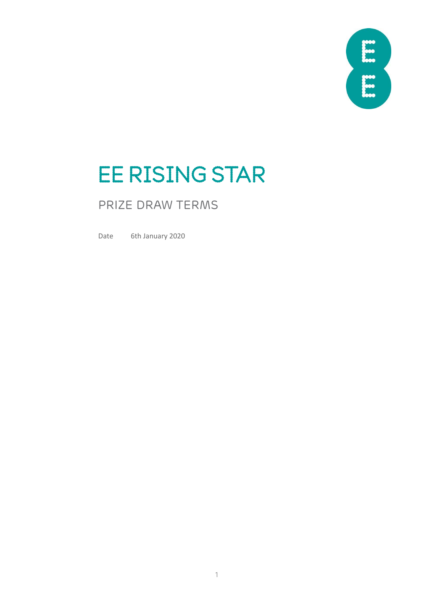

# EE RISING STAR

## PRIZE DRAW TERMS

Date 6th January 2020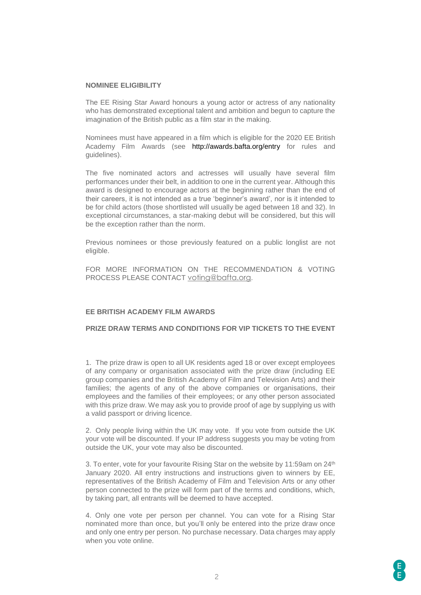#### **NOMINEE ELIGIBILITY**

The EE Rising Star Award honours a young actor or actress of any nationality who has demonstrated exceptional talent and ambition and begun to capture the imagination of the British public as a film star in the making.

Nominees must have appeared in a film which is eligible for the 2020 EE British Academy Film Awards (see <http://awards.bafta.org/entry> for rules and guidelines).

The five nominated actors and actresses will usually have several film performances under their belt, in addition to one in the current year. Although this award is designed to encourage actors at the beginning rather than the end of their careers, it is not intended as a true 'beginner's award', nor is it intended to be for child actors (those shortlisted will usually be aged between 18 and 32). In exceptional circumstances, a star-making debut will be considered, but this will be the exception rather than the norm.

Previous nominees or those previously featured on a public longlist are not eligible.

FOR MORE INFORMATION ON THE RECOMMENDATION & VOTING PROCESS PLEASE CONTACT [voting@bafta.org](mailto:voting@bafta.org).

#### **EE BRITISH ACADEMY FILM AWARDS**

### **PRIZE DRAW TERMS AND CONDITIONS FOR VIP TICKETS TO THE EVENT**

1. The prize draw is open to all UK residents aged 18 or over except employees of any company or organisation associated with the prize draw (including EE group companies and the British Academy of Film and Television Arts) and their families; the agents of any of the above companies or organisations, their employees and the families of their employees; or any other person associated with this prize draw. We may ask you to provide proof of age by supplying us with a valid passport or driving licence.

2. Only people living within the UK may vote. If you vote from outside the UK your vote will be discounted. If your IP address suggests you may be voting from outside the UK, your vote may also be discounted.

3. To enter, vote for your favourite Rising Star on the website by 11:59am on 24<sup>th</sup> January 2020. All entry instructions and instructions given to winners by EE, representatives of the British Academy of Film and Television Arts or any other person connected to the prize will form part of the terms and conditions, which, by taking part, all entrants will be deemed to have accepted.

4. Only one vote per person per channel. You can vote for a Rising Star nominated more than once, but you'll only be entered into the prize draw once and only one entry per person. No purchase necessary. Data charges may apply when you vote online.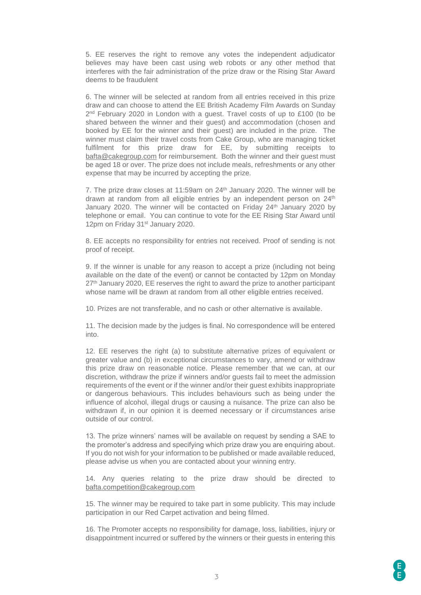5. EE reserves the right to remove any votes the independent adjudicator believes may have been cast using web robots or any other method that interferes with the fair administration of the prize draw or the Rising Star Award deems to be fraudulent

6. The winner will be selected at random from all entries received in this prize draw and can choose to attend the EE British Academy Film Awards on Sunday 2<sup>nd</sup> February 2020 in London with a guest. Travel costs of up to £100 (to be shared between the winner and their guest) and accommodation (chosen and booked by EE for the winner and their guest) are included in the prize. The winner must claim their travel costs from Cake Group, who are managing ticket fulfilment for this prize draw for EE, by submitting receipts to [bafta@cakegroup.com](mailto:bafta@cakegroup.com) for reimbursement. Both the winner and their guest must be aged 18 or over. The prize does not include meals, refreshments or any other expense that may be incurred by accepting the prize.

7. The prize draw closes at 11:59am on 24<sup>th</sup> January 2020. The winner will be drawn at random from all eligible entries by an independent person on 24<sup>th</sup> January 2020. The winner will be contacted on Friday 24<sup>th</sup> January 2020 by telephone or email. You can continue to vote for the EE Rising Star Award until 12pm on Friday 31<sup>st</sup> January 2020.

8. EE accepts no responsibility for entries not received. Proof of sending is not proof of receipt.

9. If the winner is unable for any reason to accept a prize (including not being available on the date of the event) or cannot be contacted by 12pm on Monday 27<sup>th</sup> January 2020, EE reserves the right to award the prize to another participant whose name will be drawn at random from all other eligible entries received.

10. Prizes are not transferable, and no cash or other alternative is available.

11. The decision made by the judges is final. No correspondence will be entered into.

12. EE reserves the right (a) to substitute alternative prizes of equivalent or greater value and (b) in exceptional circumstances to vary, amend or withdraw this prize draw on reasonable notice. Please remember that we can, at our discretion, withdraw the prize if winners and/or guests fail to meet the admission requirements of the event or if the winner and/or their guest exhibits inappropriate or dangerous behaviours. This includes behaviours such as being under the influence of alcohol, illegal drugs or causing a nuisance. The prize can also be withdrawn if, in our opinion it is deemed necessary or if circumstances arise outside of our control.

13. The prize winners' names will be available on request by sending a SAE to the promoter's address and specifying which prize draw you are enquiring about. If you do not wish for your information to be published or made available reduced, please advise us when you are contacted about your winning entry.

14. Any queries relating to the prize draw should be directed to [bafta.competition@cakegroup.com](mailto:bafta.competition@cakegroup.com)

15. The winner may be required to take part in some publicity. This may include participation in our Red Carpet activation and being filmed.

16. The Promoter accepts no responsibility for damage, loss, liabilities, injury or disappointment incurred or suffered by the winners or their guests in entering this